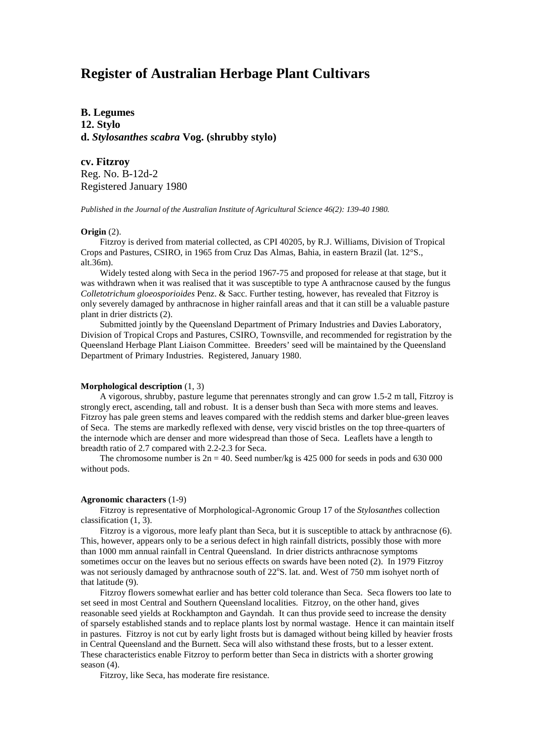# **Register of Australian Herbage Plant Cultivars**

**B. Legumes 12. Stylo d.** *Stylosanthes scabra* **Vog. (shrubby stylo)**

**cv. Fitzroy** Reg. No. B-12d-2 Registered January 1980

*Published in the Journal of the Australian Institute of Agricultural Science 46(2): 139-40 1980.*

## **Origin** (2).

Fitzroy is derived from material collected, as CPI 40205, by R.J. Williams, Division of Tropical Crops and Pastures, CSIRO, in 1965 from Cruz Das Almas, Bahia, in eastern Brazil (lat. 12°S., alt.36m).

Widely tested along with Seca in the period 1967-75 and proposed for release at that stage, but it was withdrawn when it was realised that it was susceptible to type A anthracnose caused by the fungus *Colletotrichum gloeosporioides* Penz. & Sacc. Further testing, however, has revealed that Fitzroy is only severely damaged by anthracnose in higher rainfall areas and that it can still be a valuable pasture plant in drier districts (2).

Submitted jointly by the Queensland Department of Primary Industries and Davies Laboratory, Division of Tropical Crops and Pastures, CSIRO, Townsville, and recommended for registration by the Queensland Herbage Plant Liaison Committee. Breeders' seed will be maintained by the Queensland Department of Primary Industries. Registered, January 1980.

## **Morphological description** (1, 3)

A vigorous, shrubby, pasture legume that perennates strongly and can grow 1.5-2 m tall, Fitzroy is strongly erect, ascending, tall and robust. It is a denser bush than Seca with more stems and leaves. Fitzroy has pale green stems and leaves compared with the reddish stems and darker blue-green leaves of Seca. The stems are markedly reflexed with dense, very viscid bristles on the top three-quarters of the internode which are denser and more widespread than those of Seca. Leaflets have a length to breadth ratio of 2.7 compared with 2.2-2.3 for Seca.

The chromosome number is  $2n = 40$ . Seed number/kg is 425 000 for seeds in pods and 630 000 without pods.

#### **Agronomic characters** (1-9)

Fitzroy is representative of Morphological-Agronomic Group 17 of the *Stylosanthes* collection classification (1, 3).

Fitzroy is a vigorous, more leafy plant than Seca, but it is susceptible to attack by anthracnose (6). This, however, appears only to be a serious defect in high rainfall districts, possibly those with more than 1000 mm annual rainfall in Central Queensland. In drier districts anthracnose symptoms sometimes occur on the leaves but no serious effects on swards have been noted (2). In 1979 Fitzroy was not seriously damaged by anthracnose south of 22°S. lat. and. West of 750 mm isohyet north of that latitude (9).

Fitzroy flowers somewhat earlier and has better cold tolerance than Seca. Seca flowers too late to set seed in most Central and Southern Queensland localities. Fitzroy, on the other hand, gives reasonable seed yields at Rockhampton and Gayndah. It can thus provide seed to increase the density of sparsely established stands and to replace plants lost by normal wastage. Hence it can maintain itself in pastures. Fitzroy is not cut by early light frosts but is damaged without being killed by heavier frosts in Central Queensland and the Burnett. Seca will also withstand these frosts, but to a lesser extent. These characteristics enable Fitzroy to perform better than Seca in districts with a shorter growing season  $(4)$ .

Fitzroy, like Seca, has moderate fire resistance.